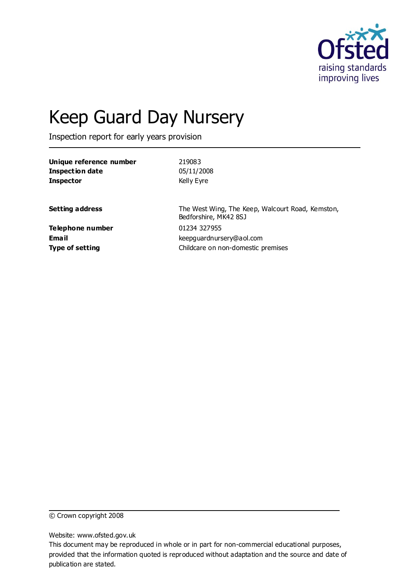

# Keep Guard Day Nursery

Inspection report for early years provision

| Unique reference number | 219083                                                                    |
|-------------------------|---------------------------------------------------------------------------|
| <b>Inspection date</b>  | 05/11/2008                                                                |
| <b>Inspector</b>        | Kelly Eyre                                                                |
| <b>Setting address</b>  | The West Wing, The Keep, Walcourt Road, Kemston,<br>Bedforshire, MK42 8SJ |
| Telephone number        | 01234 327955                                                              |
| Email                   | keepguardnursery@aol.com                                                  |
| <b>Type of setting</b>  | Childcare on non-domestic premises                                        |

© Crown copyright 2008

Website: www.ofsted.gov.uk

This document may be reproduced in whole or in part for non-commercial educational purposes, provided that the information quoted is reproduced without adaptation and the source and date of publication are stated.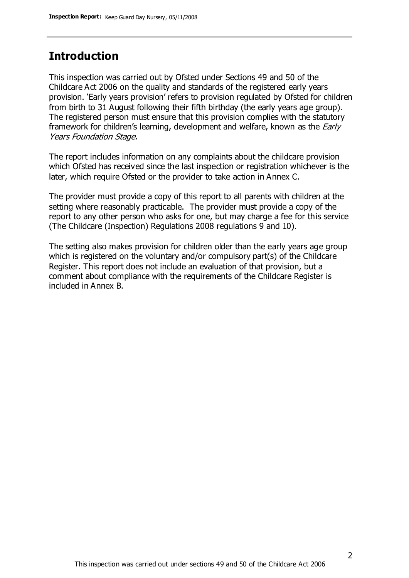### **Introduction**

This inspection was carried out by Ofsted under Sections 49 and 50 of the Childcare Act 2006 on the quality and standards of the registered early years provision. 'Early years provision' refers to provision regulated by Ofsted for children from birth to 31 August following their fifth birthday (the early years age group). The registered person must ensure that this provision complies with the statutory framework for children's learning, development and welfare, known as the *Early* Years Foundation Stage.

The report includes information on any complaints about the childcare provision which Ofsted has received since the last inspection or registration whichever is the later, which require Ofsted or the provider to take action in Annex C.

The provider must provide a copy of this report to all parents with children at the setting where reasonably practicable. The provider must provide a copy of the report to any other person who asks for one, but may charge a fee for this service (The Childcare (Inspection) Regulations 2008 regulations 9 and 10).

The setting also makes provision for children older than the early years age group which is registered on the voluntary and/or compulsory part(s) of the Childcare Register. This report does not include an evaluation of that provision, but a comment about compliance with the requirements of the Childcare Register is included in Annex B.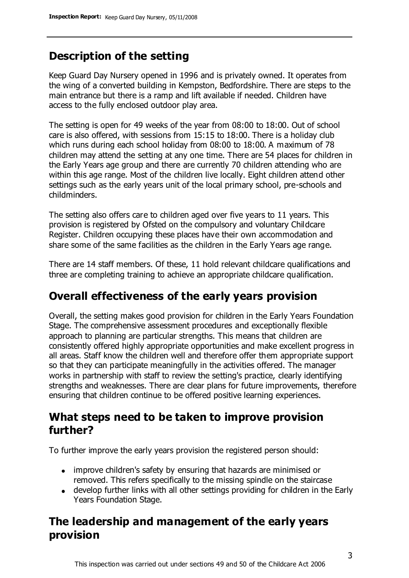# **Description of the setting**

Keep Guard Day Nursery opened in 1996 and is privately owned. It operates from the wing of a converted building in Kempston, Bedfordshire. There are steps to the main entrance but there is a ramp and lift available if needed. Children have access to the fully enclosed outdoor play area.

The setting is open for 49 weeks of the year from 08:00 to 18:00. Out of school care is also offered, with sessions from 15:15 to 18:00. There is a holiday club which runs during each school holiday from 08:00 to 18:00. A maximum of 78 children may attend the setting at any one time. There are 54 places for children in the Early Years age group and there are currently 70 children attending who are within this age range. Most of the children live locally. Eight children attend other settings such as the early years unit of the local primary school, pre-schools and childminders.

The setting also offers care to children aged over five years to 11 years. This provision is registered by Ofsted on the compulsory and voluntary Childcare Register. Children occupying these places have their own accommodation and share some of the same facilities as the children in the Early Years age range.

There are 14 staff members. Of these, 11 hold relevant childcare qualifications and three are completing training to achieve an appropriate childcare qualification.

### **Overall effectiveness of the early years provision**

Overall, the setting makes good provision for children in the Early Years Foundation Stage. The comprehensive assessment procedures and exceptionally flexible approach to planning are particular strengths. This means that children are consistently offered highly appropriate opportunities and make excellent progress in all areas. Staff know the children well and therefore offer them appropriate support so that they can participate meaningfully in the activities offered. The manager works in partnership with staff to review the setting's practice, clearly identifying strengths and weaknesses. There are clear plans for future improvements, therefore ensuring that children continue to be offered positive learning experiences.

### **What steps need to be taken to improve provision further?**

To further improve the early years provision the registered person should:

- improve children's safety by ensuring that hazards are minimised or removed. This refers specifically to the missing spindle on the staircase
- develop further links with all other settings providing for children in the Early Years Foundation Stage.

### **The leadership and management of the early years provision**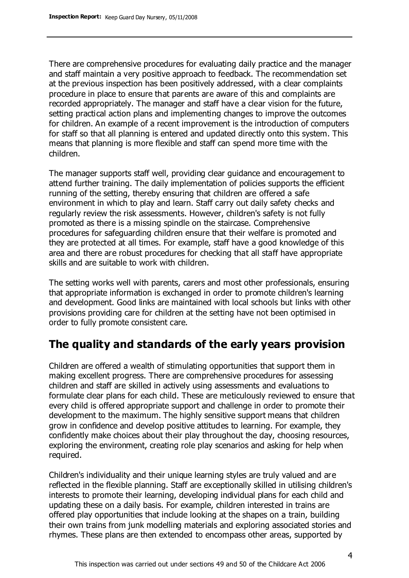There are comprehensive procedures for evaluating daily practice and the manager and staff maintain a very positive approach to feedback. The recommendation set at the previous inspection has been positively addressed, with a clear complaints procedure in place to ensure that parents are aware of this and complaints are recorded appropriately. The manager and staff have a clear vision for the future, setting practical action plans and implementing changes to improve the outcomes for children. An example of a recent improvement is the introduction of computers for staff so that all planning is entered and updated directly onto this system. This means that planning is more flexible and staff can spend more time with the children.

The manager supports staff well, providing clear guidance and encouragement to attend further training. The daily implementation of policies supports the efficient running of the setting, thereby ensuring that children are offered a safe environment in which to play and learn. Staff carry out daily safety checks and regularly review the risk assessments. However, children's safety is not fully promoted as there is a missing spindle on the staircase. Comprehensive procedures for safeguarding children ensure that their welfare is promoted and they are protected at all times. For example, staff have a good knowledge of this area and there are robust procedures for checking that all staff have appropriate skills and are suitable to work with children.

The setting works well with parents, carers and most other professionals, ensuring that appropriate information is exchanged in order to promote children's learning and development. Good links are maintained with local schools but links with other provisions providing care for children at the setting have not been optimised in order to fully promote consistent care.

### **The quality and standards of the early years provision**

Children are offered a wealth of stimulating opportunities that support them in making excellent progress. There are comprehensive procedures for assessing children and staff are skilled in actively using assessments and evaluations to formulate clear plans for each child. These are meticulously reviewed to ensure that every child is offered appropriate support and challenge in order to promote their development to the maximum. The highly sensitive support means that children grow in confidence and develop positive attitudes to learning. For example, they confidently make choices about their play throughout the day, choosing resources, exploring the environment, creating role play scenarios and asking for help when required.

Children's individuality and their unique learning styles are truly valued and are reflected in the flexible planning. Staff are exceptionally skilled in utilising children's interests to promote their learning, developing individual plans for each child and updating these on a daily basis. For example, children interested in trains are offered play opportunities that include looking at the shapes on a train, building their own trains from junk modelling materials and exploring associated stories and rhymes. These plans are then extended to encompass other areas, supported by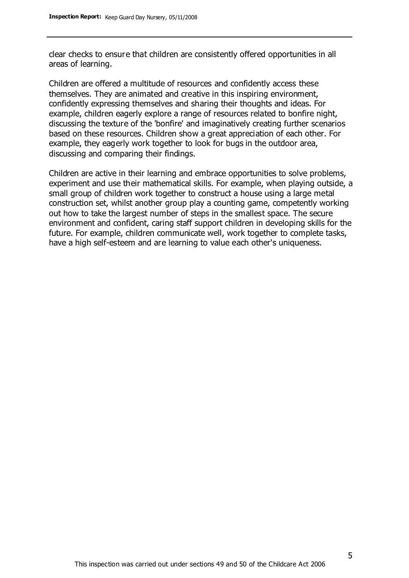clear checks to ensure that children are consistently offered opportunities in all areas of learning.

Children are offered a multitude of resources and confidently access these themselves. They are animated and creative in this inspiring environment, confidently expressing themselves and sharing their thoughts and ideas. For example, children eagerly explore a range of resources related to bonfire night, discussing the texture of the 'bonfire' and imaginatively creating further scenarios based on these resources. Children show a great appreciation of each other. For example, they eagerly work together to look for bugs in the outdoor area, discussing and comparing their findings.

Children are active in their learning and embrace opportunities to solve problems, experiment and use their mathematical skills. For example, when playing outside, a small group of children work together to construct a house using a large metal construction set, whilst another group play a counting game, competently working out how to take the largest number of steps in the smallest space. The secure environment and confident, caring staff support children in developing skills for the future. For example, children communicate well, work together to complete tasks, have a high self-esteem and are learning to value each other's uniqueness.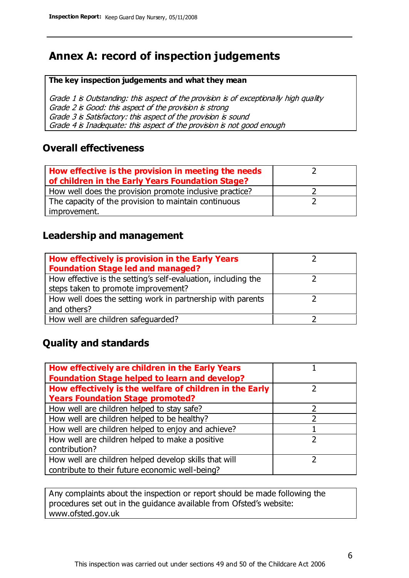# **Annex A: record of inspection judgements**

#### **The key inspection judgements and what they mean**

Grade 1 is Outstanding: this aspect of the provision is of exceptionally high quality Grade 2 is Good: this aspect of the provision is strong Grade 3 is Satisfactory: this aspect of the provision is sound Grade 4 is Inadequate: this aspect of the provision is not good enough

### **Overall effectiveness**

| How effective is the provision in meeting the needs<br>of children in the Early Years Foundation Stage? |  |
|---------------------------------------------------------------------------------------------------------|--|
| How well does the provision promote inclusive practice?                                                 |  |
| The capacity of the provision to maintain continuous                                                    |  |
| improvement.                                                                                            |  |

### **Leadership and management**

| How effectively is provision in the Early Years               |  |
|---------------------------------------------------------------|--|
| <b>Foundation Stage led and managed?</b>                      |  |
| How effective is the setting's self-evaluation, including the |  |
| steps taken to promote improvement?                           |  |
| How well does the setting work in partnership with parents    |  |
| and others?                                                   |  |
| How well are children safeguarded?                            |  |

### **Quality and standards**

| How effectively are children in the Early Years         |  |
|---------------------------------------------------------|--|
| <b>Foundation Stage helped to learn and develop?</b>    |  |
| How effectively is the welfare of children in the Early |  |
| <b>Years Foundation Stage promoted?</b>                 |  |
| How well are children helped to stay safe?              |  |
| How well are children helped to be healthy?             |  |
| How well are children helped to enjoy and achieve?      |  |
| How well are children helped to make a positive         |  |
| contribution?                                           |  |
| How well are children helped develop skills that will   |  |
| contribute to their future economic well-being?         |  |

Any complaints about the inspection or report should be made following the procedures set out in the guidance available from Ofsted's website: www.ofsted.gov.uk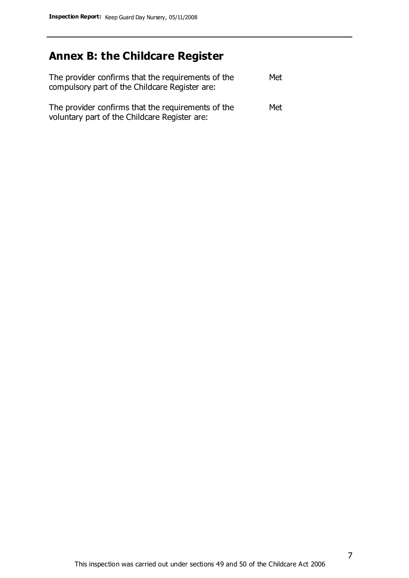# **Annex B: the Childcare Register**

| The provider confirms that the requirements of the<br>compulsory part of the Childcare Register are: | Met |
|------------------------------------------------------------------------------------------------------|-----|
| The provider confirms that the requirements of the<br>voluntary part of the Childcare Register are:  | Met |